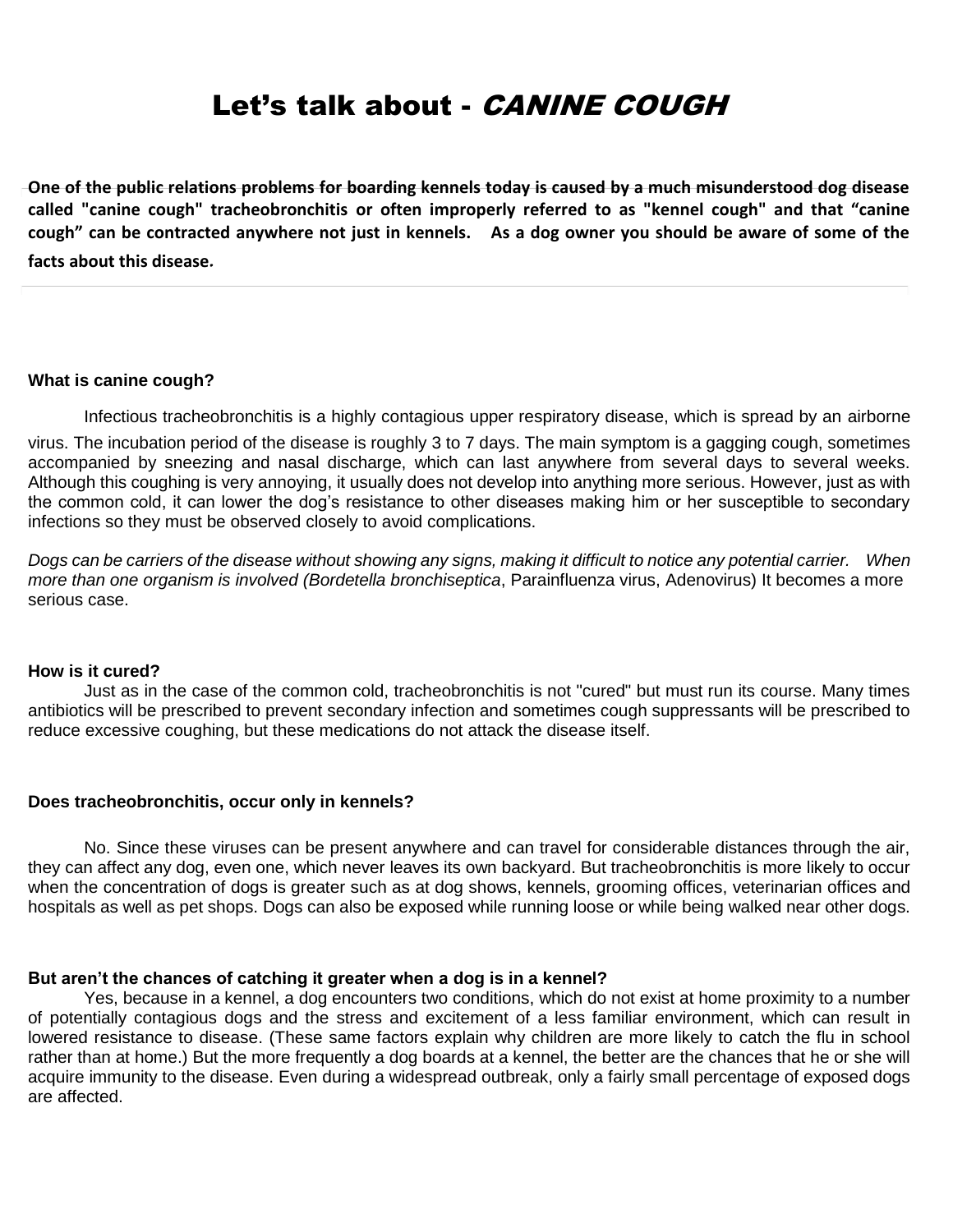# Let's talk about - *CANINE COUGH*

**One of the public relations problems for boarding kennels today is caused by a much misunderstood dog disease called "canine cough" tracheobronchitis or often improperly referred to as "kennel cough" and that "canine cough" can be contracted anywhere not just in kennels. As a dog owner you should be aware of some of the facts about this disease.**

#### **What is canine cough?**

Infectious tracheobronchitis is a highly contagious upper respiratory disease, which is spread by an airborne

virus. The incubation period of the disease is roughly 3 to 7 days. The main symptom is a gagging cough, sometimes accompanied by sneezing and nasal discharge, which can last anywhere from several days to several weeks. Although this coughing is very annoying, it usually does not develop into anything more serious. However, just as with the common cold, it can lower the dog's resistance to other diseases making him or her susceptible to secondary infections so they must be observed closely to avoid complications.

*Dogs can be carriers of the disease without showing any signs, making it difficult to notice any potential carrier. When more than one organism is involved (Bordetella bronchiseptica*, Parainfluenza virus, Adenovirus) It becomes a more serious case.

#### **How is it cured?**

Just as in the case of the common cold, tracheobronchitis is not "cured" but must run its course. Many times antibiotics will be prescribed to prevent secondary infection and sometimes cough suppressants will be prescribed to reduce excessive coughing, but these medications do not attack the disease itself.

### **Does tracheobronchitis, occur only in kennels?**

No. Since these viruses can be present anywhere and can travel for considerable distances through the air, they can affect any dog, even one, which never leaves its own backyard. But tracheobronchitis is more likely to occur when the concentration of dogs is greater such as at dog shows, kennels, grooming offices, veterinarian offices and hospitals as well as pet shops. Dogs can also be exposed while running loose or while being walked near other dogs.

#### **But aren't the chances of catching it greater when a dog is in a kennel?**

Yes, because in a kennel, a dog encounters two conditions, which do not exist at home proximity to a number of potentially contagious dogs and the stress and excitement of a less familiar environment, which can result in lowered resistance to disease. (These same factors explain why children are more likely to catch the flu in school rather than at home.) But the more frequently a dog boards at a kennel, the better are the chances that he or she will acquire immunity to the disease. Even during a widespread outbreak, only a fairly small percentage of exposed dogs are affected.